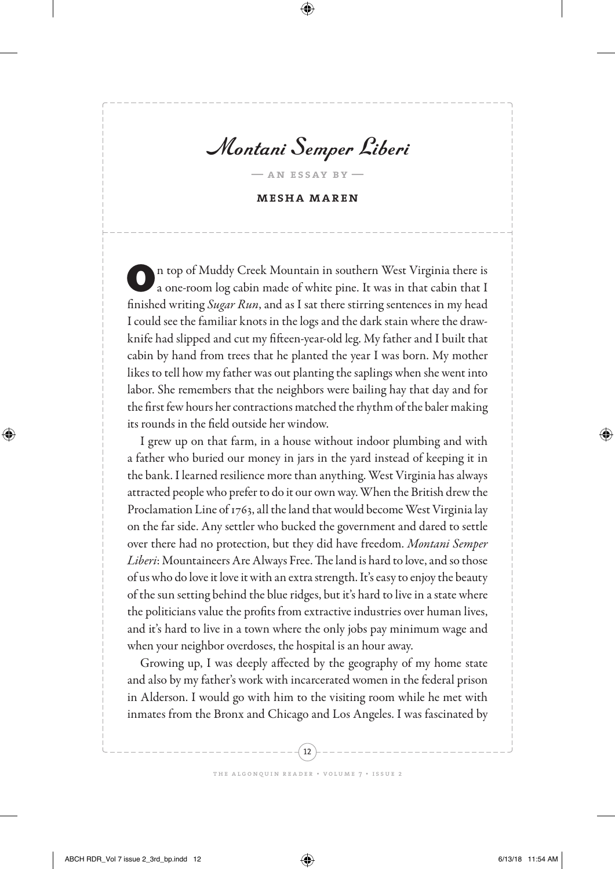Montani Semper Liberi

**— an essay by —**

**mesha maren**

On top of Muddy Creek Mountain in southern West Virginia there is a one-room log cabin made of white pine. It was in that cabin that I finished writing *Sugar Run*, and as I sat there stirring sentences in my head I could see the familiar knots in the logs and the dark stain where the drawknife had slipped and cut my fifteen-year-old leg. My father and I built that cabin by hand from trees that he planted the year I was born. My mother likes to tell how my father was out planting the saplings when she went into labor. She remembers that the neighbors were bailing hay that day and for the first few hours her contractions matched the rhythm of the baler making its rounds in the field outside her window.

I grew up on that farm, in a house without indoor plumbing and with a father who buried our money in jars in the yard instead of keeping it in the bank. I learned resilience more than anything. West Virginia has always attracted people who prefer to do it our own way. When the British drew the Proclamation Line of 1763, all the land that would become West Virginia lay on the far side. Any settler who bucked the government and dared to settle over there had no protection, but they did have freedom. *Montani Semper Liberi*: Mountaineers Are Always Free. The land is hard to love, and so those of us who do love it love it with an extra strength. It's easy to enjoy the beauty of the sun setting behind the blue ridges, but it's hard to live in a state where the politicians value the profits from extractive industries over human lives, and it's hard to live in a town where the only jobs pay minimum wage and when your neighbor overdoses, the hospital is an hour away.

Growing up, I was deeply affected by the geography of my home state and also by my father's work with incarcerated women in the federal prison in Alderson. I would go with him to the visiting room while he met with inmates from the Bronx and Chicago and Los Angeles. I was fascinated by

12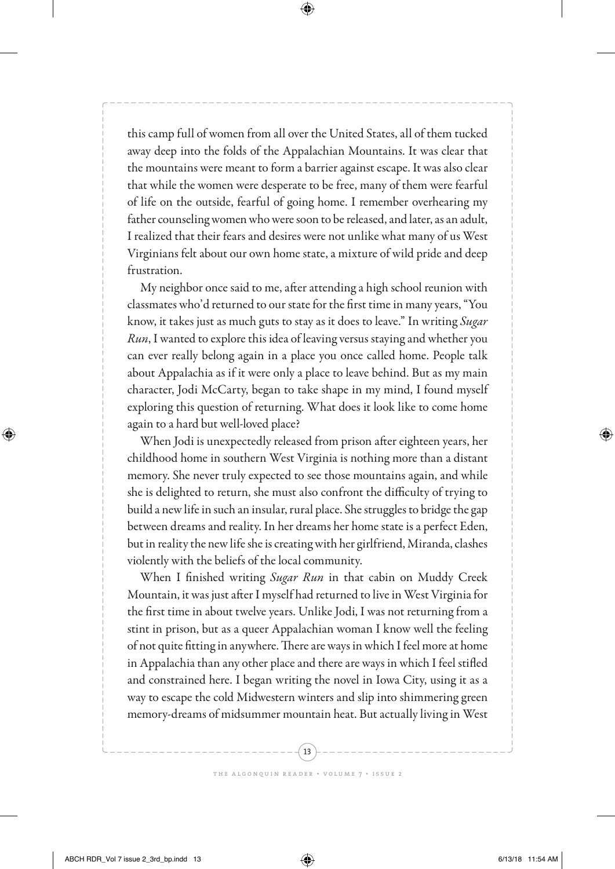this camp full of women from all over the United States, all of them tucked away deep into the folds of the Appalachian Mountains. It was clear that the mountains were meant to form a barrier against escape. It was also clear that while the women were desperate to be free, many of them were fearful of life on the outside, fearful of going home. I remember overhearing my father counseling women who were soon to be released, and later, as an adult, I realized that their fears and desires were not unlike what many of us West Virginians felt about our own home state, a mixture of wild pride and deep frustration.

My neighbor once said to me, after attending a high school reunion with classmates who'd returned to our state for the first time in many years, "You know, it takes just as much guts to stay as it does to leave." In writing *Sugar Run*, I wanted to explore this idea of leaving versus staying and whether you can ever really belong again in a place you once called home. People talk about Appalachia as if it were only a place to leave behind. But as my main character, Jodi McCarty, began to take shape in my mind, I found myself exploring this question of returning. What does it look like to come home again to a hard but well-loved place?

When Jodi is unexpectedly released from prison after eighteen years, her childhood home in southern West Virginia is nothing more than a distant memory. She never truly expected to see those mountains again, and while she is delighted to return, she must also confront the difficulty of trying to build a new life in such an insular, rural place. She struggles to bridge the gap between dreams and reality. In her dreams her home state is a perfect Eden, but in reality the new life she is creating with her girlfriend, Miranda, clashes violently with the beliefs of the local community.

When I finished writing *Sugar Run* in that cabin on Muddy Creek Mountain, it was just after I myself had returned to live in West Virginia for the first time in about twelve years. Unlike Jodi, I was not returning from a stint in prison, but as a queer Appalachian woman I know well the feeling of not quite fitting in anywhere. There are ways in which I feel more at home in Appalachia than any other place and there are ways in which I feel stifled and constrained here. I began writing the novel in Iowa City, using it as a way to escape the cold Midwestern winters and slip into shimmering green memory-dreams of midsummer mountain heat. But actually living in West

13